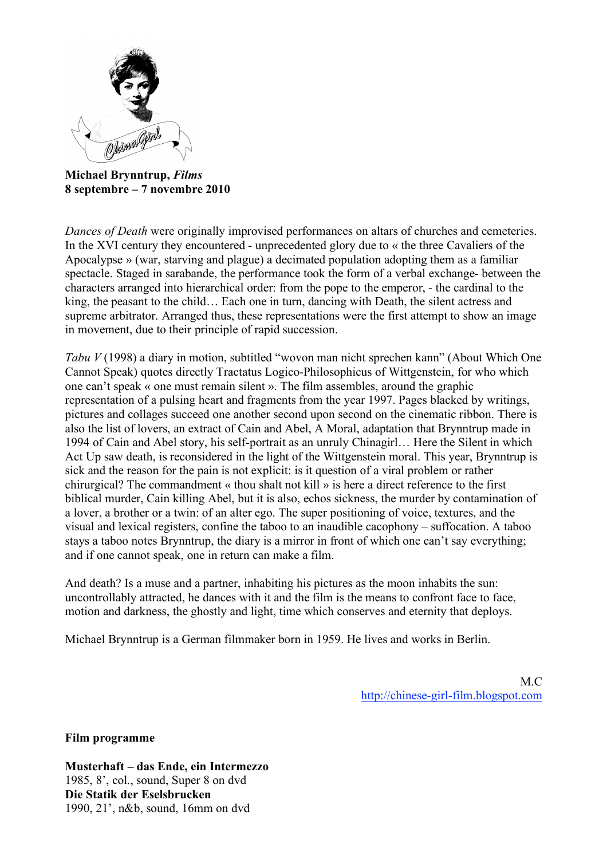

**Michael Brynntrup,** *Films* **8 septembre – 7 novembre 2010**

*Dances of Death* were originally improvised performances on altars of churches and cemeteries. In the XVI century they encountered - unprecedented glory due to « the three Cavaliers of the Apocalypse » (war, starving and plague) a decimated population adopting them as a familiar spectacle. Staged in sarabande, the performance took the form of a verbal exchange- between the characters arranged into hierarchical order: from the pope to the emperor, - the cardinal to the king, the peasant to the child… Each one in turn, dancing with Death, the silent actress and supreme arbitrator. Arranged thus, these representations were the first attempt to show an image in movement, due to their principle of rapid succession.

*Tabu V* (1998) a diary in motion, subtitled "wovon man nicht sprechen kann" (About Which One Cannot Speak) quotes directly Tractatus Logico-Philosophicus of Wittgenstein, for who which one can't speak « one must remain silent ». The film assembles, around the graphic representation of a pulsing heart and fragments from the year 1997. Pages blacked by writings, pictures and collages succeed one another second upon second on the cinematic ribbon. There is also the list of lovers, an extract of Cain and Abel, A Moral, adaptation that Brynntrup made in 1994 of Cain and Abel story, his self-portrait as an unruly Chinagirl… Here the Silent in which Act Up saw death, is reconsidered in the light of the Wittgenstein moral. This year, Brynntrup is sick and the reason for the pain is not explicit: is it question of a viral problem or rather chirurgical? The commandment « thou shalt not kill » is here a direct reference to the first biblical murder, Cain killing Abel, but it is also, echos sickness, the murder by contamination of a lover, a brother or a twin: of an alter ego. The super positioning of voice, textures, and the visual and lexical registers, confine the taboo to an inaudible cacophony – suffocation. A taboo stays a taboo notes Brynntrup, the diary is a mirror in front of which one can't say everything; and if one cannot speak, one in return can make a film.

And death? Is a muse and a partner, inhabiting his pictures as the moon inhabits the sun: uncontrollably attracted, he dances with it and the film is the means to confront face to face, motion and darkness, the ghostly and light, time which conserves and eternity that deploys.

Michael Brynntrup is a German filmmaker born in 1959. He lives and works in Berlin.

M.C. http://chinese-girl-film.blogspot.com

**Film programme**

**Musterhaft – das Ende, ein Intermezzo** 1985, 8', col., sound, Super 8 on dvd **Die Statik der Eselsbrucken** 1990, 21', n&b, sound, 16mm on dvd